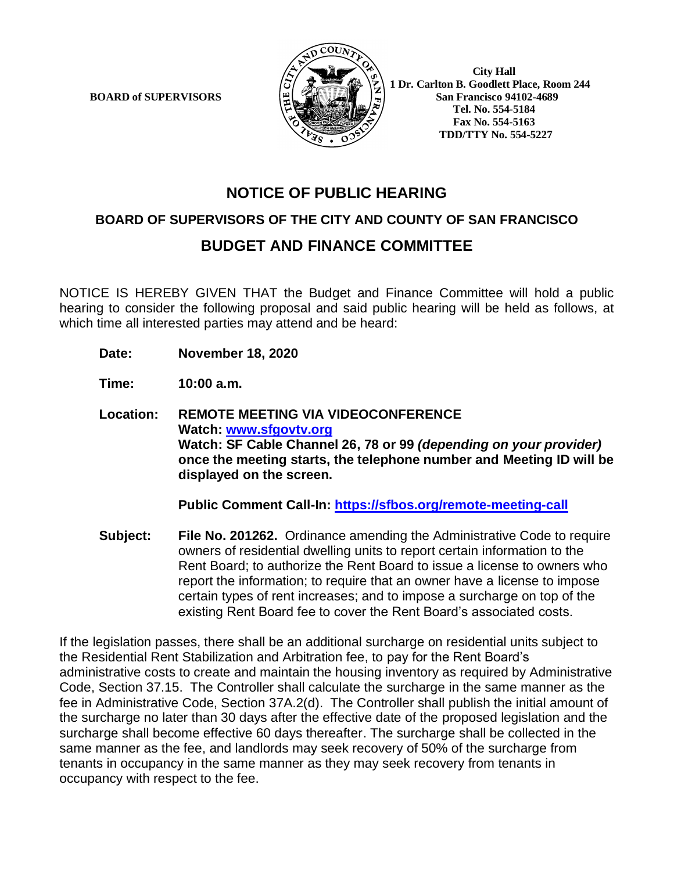

 **1 Dr. Carlton B. Goodlett Place, Room 244 BOARD of SUPERVISORS**  $\mathbb{E}$   $\left[\frac{\mathbb{E}}{\mathbb{E}}\right]$   $\left[\frac{\mathbb{E}}{\mathbb{E}}\right]$   $\left[\frac{\mathbb{E}}{\mathbb{E}}\right]$  San Francisco 94102-4689  **Tel. No. 554-5184 Fax No. 554-5163 TDD/TTY No. 554-5227**

# **NOTICE OF PUBLIC HEARING**

### **BOARD OF SUPERVISORS OF THE CITY AND COUNTY OF SAN FRANCISCO**

## **BUDGET AND FINANCE COMMITTEE**

NOTICE IS HEREBY GIVEN THAT the Budget and Finance Committee will hold a public hearing to consider the following proposal and said public hearing will be held as follows, at which time all interested parties may attend and be heard:

**Date: November 18, 2020**

**Time: 10:00 a.m.**

**Location: REMOTE MEETING VIA VIDEOCONFERENCE Watch: www.sfgovtv.org Watch: SF Cable Channel 26, 78 or 99** *(depending on your provider)* **once the meeting starts, the telephone number and Meeting ID will be displayed on the screen.**

**Public Comment Call-In: https://sfbos.org/remote-meeting-call**

**Subject: File No. 201262.** Ordinance amending the Administrative Code to require owners of residential dwelling units to report certain information to the Rent Board; to authorize the Rent Board to issue a license to owners who report the information; to require that an owner have a license to impose certain types of rent increases; and to impose a surcharge on top of the existing Rent Board fee to cover the Rent Board's associated costs.

If the legislation passes, there shall be an additional surcharge on residential units subject to the Residential Rent Stabilization and Arbitration fee, to pay for the Rent Board's administrative costs to create and maintain the housing inventory as required by Administrative Code, Section 37.15. The Controller shall calculate the surcharge in the same manner as the fee in Administrative Code, Section 37A.2(d). The Controller shall publish the initial amount of the surcharge no later than 30 days after the effective date of the proposed legislation and the surcharge shall become effective 60 days thereafter. The surcharge shall be collected in the same manner as the fee, and landlords may seek recovery of 50% of the surcharge from tenants in occupancy in the same manner as they may seek recovery from tenants in occupancy with respect to the fee.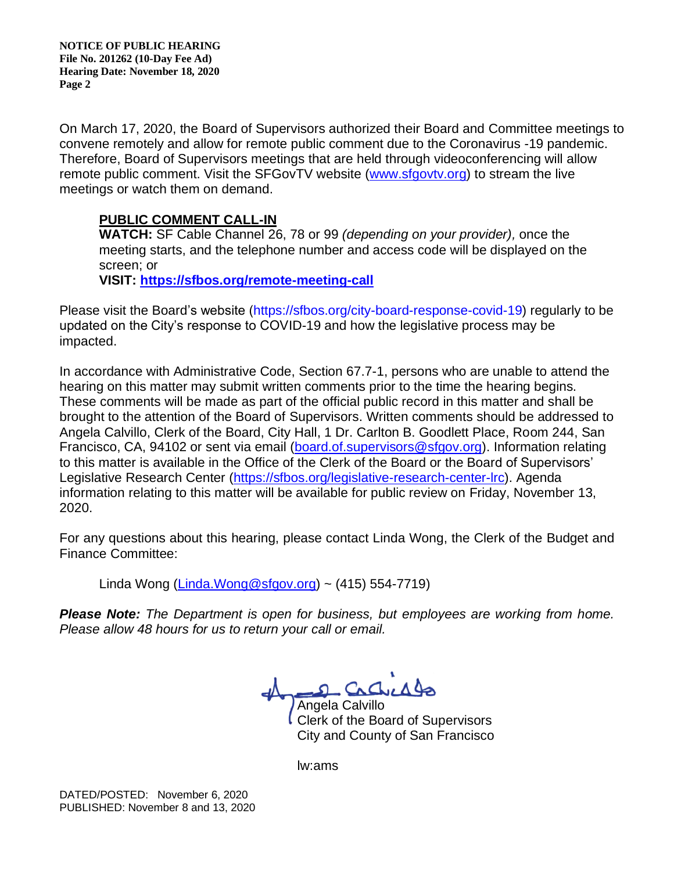**NOTICE OF PUBLIC HEARING File No. 201262 (10-Day Fee Ad) Hearing Date: November 18, 2020 Page 2**

On March 17, 2020, the Board of Supervisors authorized their Board and Committee meetings to convene remotely and allow for remote public comment due to the Coronavirus -19 pandemic. Therefore, Board of Supervisors meetings that are held through videoconferencing will allow remote public comment. Visit the SFGovTV website (www.sfgovtv.org) to stream the live meetings or watch them on demand.

### **PUBLIC COMMENT CALL-IN**

**WATCH:** SF Cable Channel 26, 78 or 99 *(depending on your provider),* once the meeting starts, and the telephone number and access code will be displayed on the screen; or

**VISIT: https://sfbos.org/remote-meeting-call**

Please visit the Board's website (https://sfbos.org/city-board-response-covid-19) regularly to be updated on the City's response to COVID-19 and how the legislative process may be impacted.

In accordance with Administrative Code, Section 67.7-1, persons who are unable to attend the hearing on this matter may submit written comments prior to the time the hearing begins. These comments will be made as part of the official public record in this matter and shall be brought to the attention of the Board of Supervisors. Written comments should be addressed to Angela Calvillo, Clerk of the Board, City Hall, 1 Dr. Carlton B. Goodlett Place, Room 244, San Francisco, CA, 94102 or sent via email (board.of.supervisors@sfgov.org). Information relating to this matter is available in the Office of the Clerk of the Board or the Board of Supervisors' Legislative Research Center (https://sfbos.org/legislative-research-center-lrc). Agenda information relating to this matter will be available for public review on Friday, November 13, 2020.

For any questions about this hearing, please contact Linda Wong, the Clerk of the Budget and Finance Committee:

Linda Wong (Linda.Wong@sfgov.org) ~  $(415)$  554-7719)

*Please Note: The Department is open for business, but employees are working from home. Please allow 48 hours for us to return your call or email.*

2 Cachiado Angela Calvillo

Clerk of the Board of Supervisors City and County of San Francisco

lw:ams

DATED/POSTED: November 6, 2020 PUBLISHED: November 8 and 13, 2020